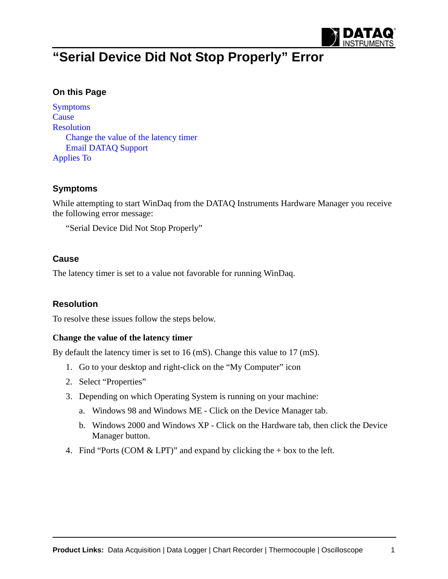

# **"Serial Device Did Not Stop Properly" Error**

## **On this Page**

[Symptoms](#page-0-0) **[Cause](#page-0-1)** [Resolution](#page-0-2) [Change the value of the latency timer](#page-0-3) [Email DATAQ Support](#page-3-1) [Applies To](#page-3-0)

## <span id="page-0-0"></span>**Symptoms**

While attempting to start WinDaq from the DATAQ Instruments Hardware Manager you receive the following error message:

"Serial Device Did Not Stop Properly"

#### <span id="page-0-1"></span>**Cause**

The latency timer is set to a value not favorable for running WinDaq.

## <span id="page-0-2"></span>**Resolution**

To resolve these issues follow the steps below.

#### <span id="page-0-3"></span>**Change the value of the latency timer**

By default the latency timer is set to 16 (mS). Change this value to 17 (mS).

- 1. Go to your desktop and right-click on the "My Computer" icon
- 2. Select "Properties"
- 3. Depending on which Operating System is running on your machine:
	- a. Windows 98 and Windows ME Click on the Device Manager tab.
	- b. Windows 2000 and Windows XP Click on the Hardware tab, then click the Device Manager button.
- 4. Find "Ports (COM  $& LPT$ )" and expand by clicking the + box to the left.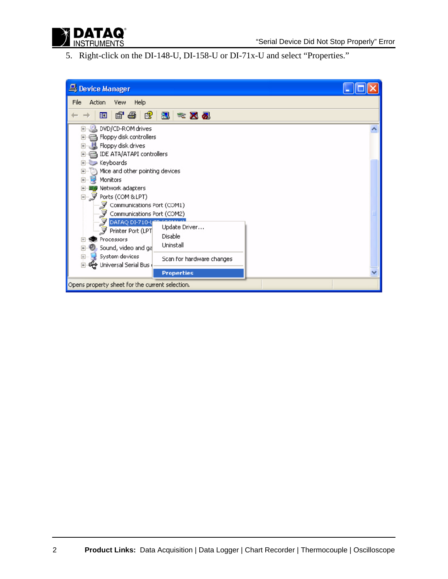

5. Right-click on the DI-148-U, DI-158-U or DI-71x-U and select "Properties."

| Device Manager                                                                                                                                                                                                                                |  |
|-----------------------------------------------------------------------------------------------------------------------------------------------------------------------------------------------------------------------------------------------|--|
| File<br>Action<br>Help<br>View                                                                                                                                                                                                                |  |
| ピ<br>☞<br>a<br>图<br>囮<br>図の<br>高密                                                                                                                                                                                                             |  |
| DVD/CD-ROM drives<br>$\overline{\mathbf{H}}$<br>Floppy disk controllers<br>$\overline{+}$<br>Floppy disk drives<br>$\overline{+}$<br>IDE ATA/ATAPI controllers<br>$\overline{+}$                                                              |  |
| Keyboards<br>$\overline{+}$<br>Mice and other pointing devices<br>$+$<br>田…摩<br>Monitors<br>·圖學 Network adapters<br>田<br>白 y Ports (COM & LPT)<br>Communications Port (COM1)<br>Communications Port (COM2)<br>DATAQ DI-710-Y                  |  |
| Update Driver<br>罗 Printer Port (LPT<br>Disable<br><b>像</b> Processors<br>$\overline{+}$<br>Uninstall<br>, Sound, video and ga<br>$\overline{+}$<br>System devices<br>$+$<br>Scan for hardware changes<br>由 <del>哦</del> Universal Serial Bus |  |
| <b>Properties</b>                                                                                                                                                                                                                             |  |
| Opens property sheet for the current selection.                                                                                                                                                                                               |  |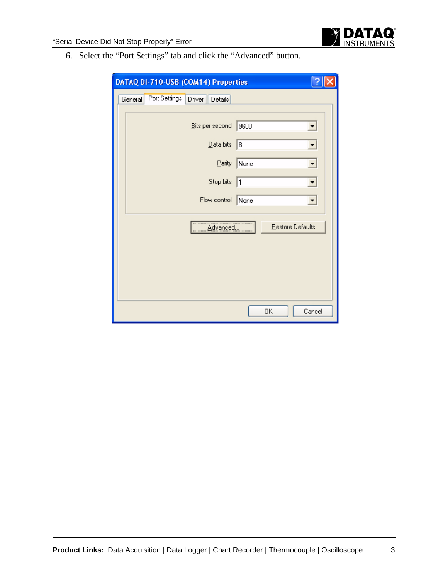

6. Select the "Port Settings" tab and click the "Advanced" button.

| DATAQ DI-710-USB (COM14) Properties                                                                                        |  |  |
|----------------------------------------------------------------------------------------------------------------------------|--|--|
| Port Settings<br>Driver<br>Details<br>General                                                                              |  |  |
| Bits per second:   9600<br>▼<br>Data bits: 8<br>$\blacktriangledown$<br>Parity: None<br>Stop bits: 1<br>Elow control: None |  |  |
| Restore Defaults<br>Advanced.<br>ΟK<br>Cancel                                                                              |  |  |